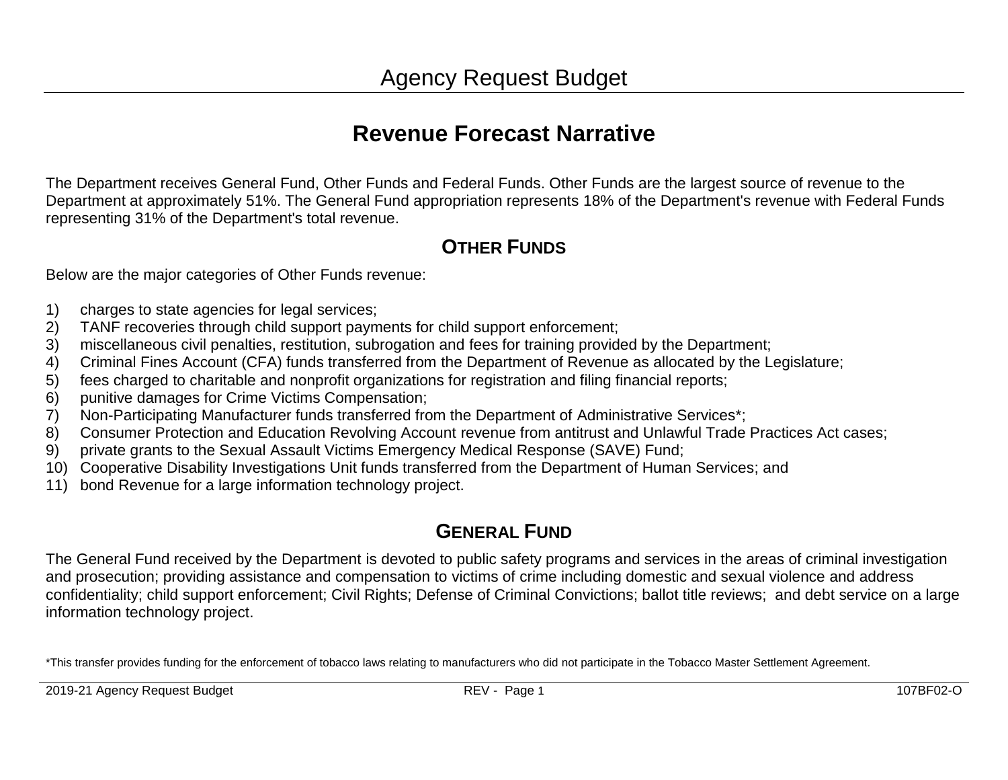## **Revenue Forecast Narrative**

The Department receives General Fund, Other Funds and Federal Funds. Other Funds are the largest source of revenue to the Department at approximately 51%. The General Fund appropriation represents 18% of the Department's revenue with Federal Funds representing 31% of the Department's total revenue.

#### **OTHER FUNDS**

Below are the major categories of Other Funds revenue:

- 1) charges to state agencies for legal services;
- 2) TANF recoveries through child support payments for child support enforcement;
- 3) miscellaneous civil penalties, restitution, subrogation and fees for training provided by the Department;
- 4) Criminal Fines Account (CFA) funds transferred from the Department of Revenue as allocated by the Legislature;
- 5) fees charged to charitable and nonprofit organizations for registration and filing financial reports;
- 6) punitive damages for Crime Victims Compensation;
- 7) Non-Participating Manufacturer funds transferred from the Department of Administrative Services\*;
- 8) Consumer Protection and Education Revolving Account revenue from antitrust and Unlawful Trade Practices Act cases;
- 9) private grants to the Sexual Assault Victims Emergency Medical Response (SAVE) Fund;
- 10) Cooperative Disability Investigations Unit funds transferred from the Department of Human Services; and
- 11) bond Revenue for a large information technology project.

#### **GENERAL FUND**

The General Fund received by the Department is devoted to public safety programs and services in the areas of criminal investigation and prosecution; providing assistance and compensation to victims of crime including domestic and sexual violence and address confidentiality; child support enforcement; Civil Rights; Defense of Criminal Convictions; ballot title reviews; and debt service on a large information technology project.

\*This transfer provides funding for the enforcement of tobacco laws relating to manufacturers who did not participate in the Tobacco Master Settlement Agreement.

2019-21 Agency Request Budget National Communication CEV - Page 1 2019-21 Agency Republic 107BF02-O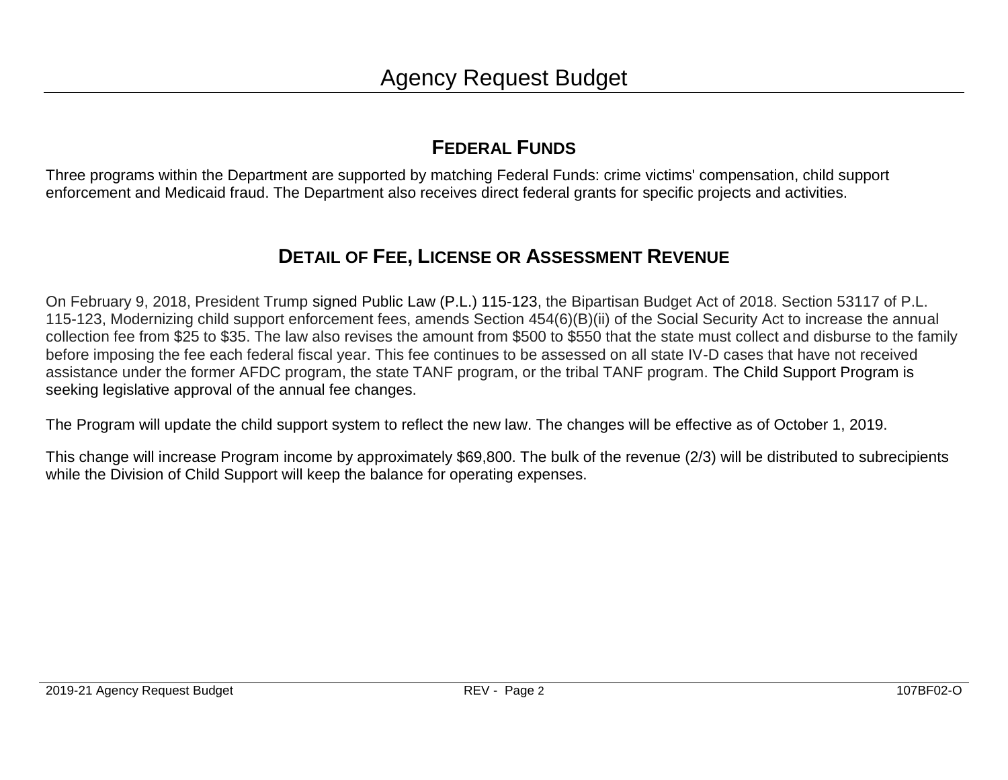#### **FEDERAL FUNDS**

Three programs within the Department are supported by matching Federal Funds: crime victims' compensation, child support enforcement and Medicaid fraud. The Department also receives direct federal grants for specific projects and activities.

#### **DETAIL OF FEE, LICENSE OR ASSESSMENT REVENUE**

On February 9, 2018, President Trump signed Public Law (P.L.) [115-123,](https://www.congress.gov/bill/115th-congress/house-bill/1892/text?q=%7B%22search%22%3A%5B%22hr1892%22%5D%7D&r=1) the Bipartisan Budget Act of 2018. Section 53117 of P.L. 115-123, Modernizing child support enforcement fees, amends Section 454(6)(B)(ii) of the Social Security Act to increase the annual collection fee from \$25 to \$35. The law also revises the amount from \$500 to \$550 that the state must collect and disburse to the family before imposing the fee each federal fiscal year. This fee continues to be assessed on all state IV-D cases that have not received assistance under the former AFDC program, the state TANF program, or the tribal TANF program. The Child Support Program is seeking legislative approval of the annual fee changes.

The Program will update the child support system to reflect the new law. The changes will be effective as of October 1, 2019.

This change will increase Program income by approximately \$69,800. The bulk of the revenue (2/3) will be distributed to subrecipients while the Division of Child Support will keep the balance for operating expenses.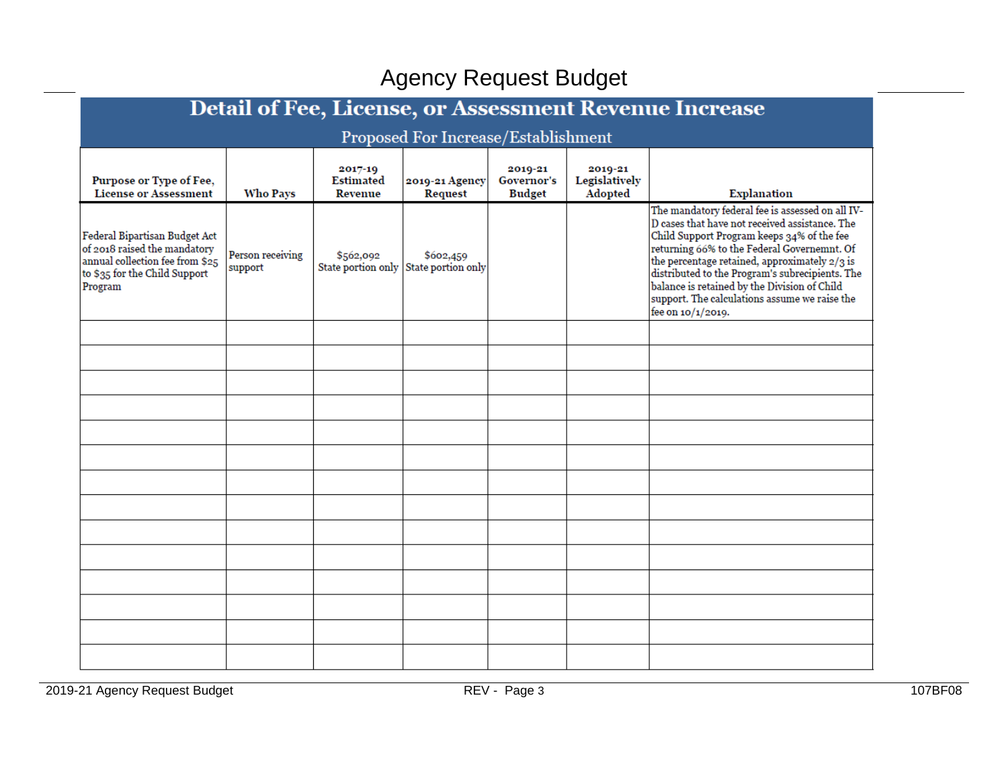| Detail of Fee, License, or Assessment Revenue Increase                                                                                       |                             |                                               |                                     |                                        |                                     |                                                                                                                                                                                                                                                                                                                                                                                                                           |  |  |  |  |
|----------------------------------------------------------------------------------------------------------------------------------------------|-----------------------------|-----------------------------------------------|-------------------------------------|----------------------------------------|-------------------------------------|---------------------------------------------------------------------------------------------------------------------------------------------------------------------------------------------------------------------------------------------------------------------------------------------------------------------------------------------------------------------------------------------------------------------------|--|--|--|--|
|                                                                                                                                              |                             |                                               | Proposed For Increase/Establishment |                                        |                                     |                                                                                                                                                                                                                                                                                                                                                                                                                           |  |  |  |  |
| Purpose or Type of Fee,<br><b>License or Assessment</b>                                                                                      | <b>Who Pays</b>             | 2017-19<br><b>Estimated</b><br><b>Revenue</b> | 2019-21 Agency<br>Request           | 2019-21<br>Governor's<br><b>Budget</b> | 2019-21<br>Legislatively<br>Adopted | <b>Explanation</b>                                                                                                                                                                                                                                                                                                                                                                                                        |  |  |  |  |
| Federal Bipartisan Budget Act<br>of 2018 raised the mandatory<br>annual collection fee from \$25<br>to \$35 for the Child Support<br>Program | Person receiving<br>support | \$562,092<br>State portion only               | \$602,459<br>State portion only     |                                        |                                     | The mandatory federal fee is assessed on all IV-<br>D cases that have not received assistance. The<br>Child Support Program keeps 34% of the fee<br>returning 66% to the Federal Governemnt. Of<br>the percentage retained, approximately 2/3 is<br>distributed to the Program's subrecipients. The<br>balance is retained by the Division of Child<br>support. The calculations assume we raise the<br>fee on 10/1/2019. |  |  |  |  |
|                                                                                                                                              |                             |                                               |                                     |                                        |                                     |                                                                                                                                                                                                                                                                                                                                                                                                                           |  |  |  |  |
|                                                                                                                                              |                             |                                               |                                     |                                        |                                     |                                                                                                                                                                                                                                                                                                                                                                                                                           |  |  |  |  |
|                                                                                                                                              |                             |                                               |                                     |                                        |                                     |                                                                                                                                                                                                                                                                                                                                                                                                                           |  |  |  |  |
|                                                                                                                                              |                             |                                               |                                     |                                        |                                     |                                                                                                                                                                                                                                                                                                                                                                                                                           |  |  |  |  |
|                                                                                                                                              |                             |                                               |                                     |                                        |                                     |                                                                                                                                                                                                                                                                                                                                                                                                                           |  |  |  |  |
|                                                                                                                                              |                             |                                               |                                     |                                        |                                     |                                                                                                                                                                                                                                                                                                                                                                                                                           |  |  |  |  |
|                                                                                                                                              |                             |                                               |                                     |                                        |                                     |                                                                                                                                                                                                                                                                                                                                                                                                                           |  |  |  |  |
|                                                                                                                                              |                             |                                               |                                     |                                        |                                     |                                                                                                                                                                                                                                                                                                                                                                                                                           |  |  |  |  |
|                                                                                                                                              |                             |                                               |                                     |                                        |                                     |                                                                                                                                                                                                                                                                                                                                                                                                                           |  |  |  |  |
|                                                                                                                                              |                             |                                               |                                     |                                        |                                     |                                                                                                                                                                                                                                                                                                                                                                                                                           |  |  |  |  |
|                                                                                                                                              |                             |                                               |                                     |                                        |                                     |                                                                                                                                                                                                                                                                                                                                                                                                                           |  |  |  |  |
|                                                                                                                                              |                             |                                               |                                     |                                        |                                     |                                                                                                                                                                                                                                                                                                                                                                                                                           |  |  |  |  |

and 2019-21 Agency Request Budget Review REV - Page 3 107BF08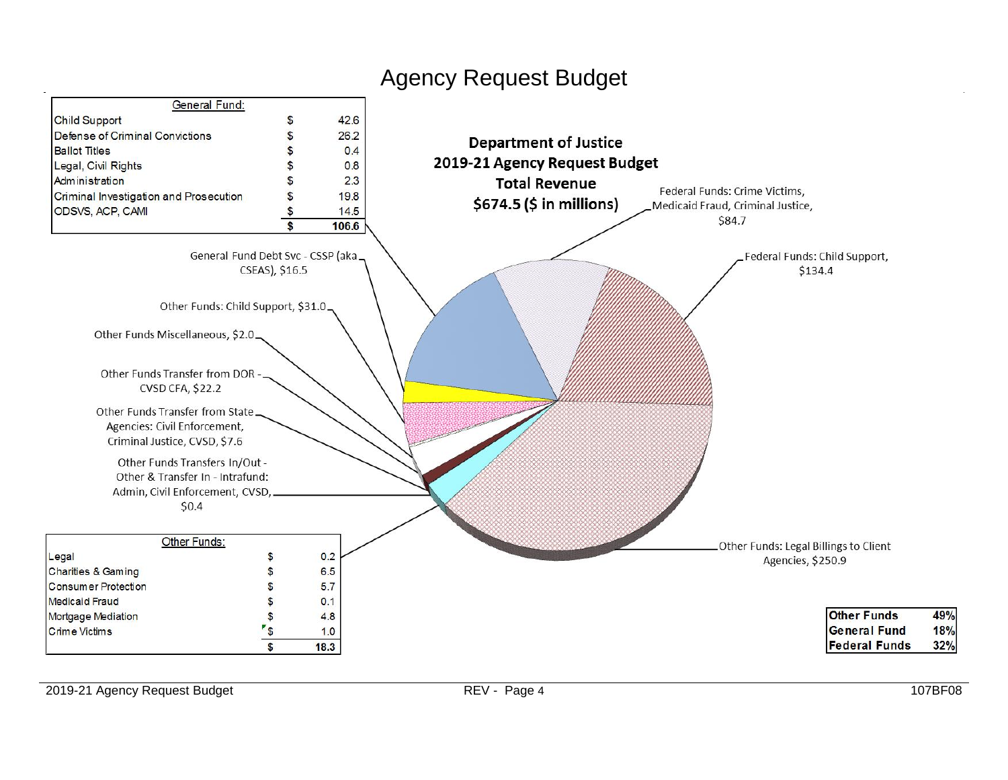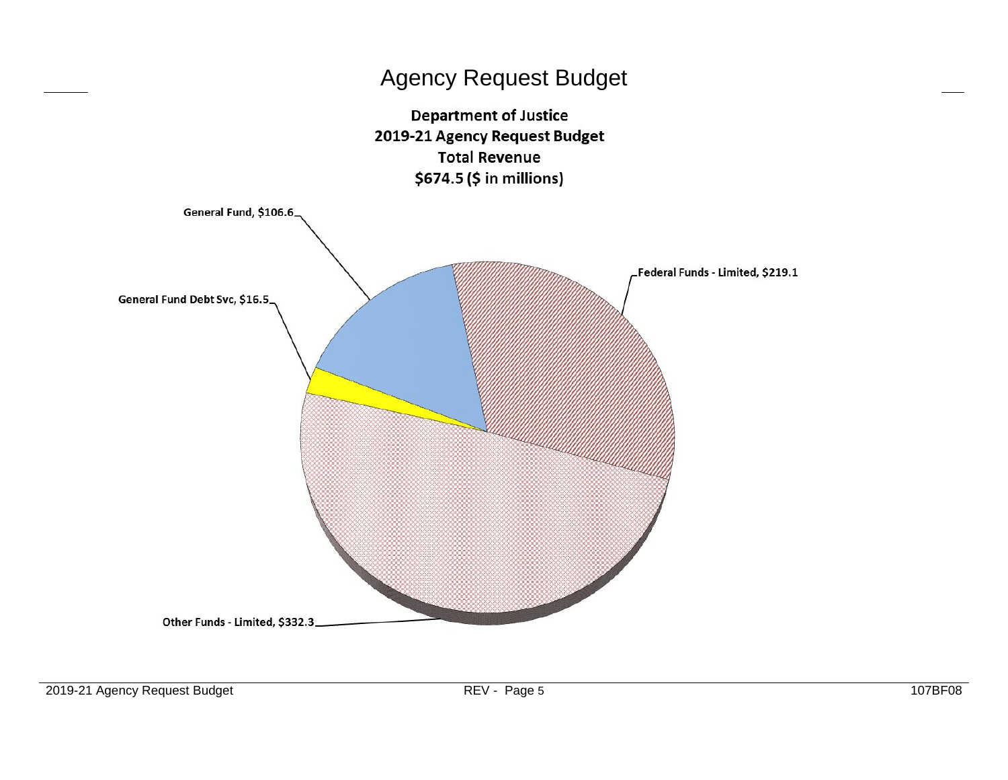

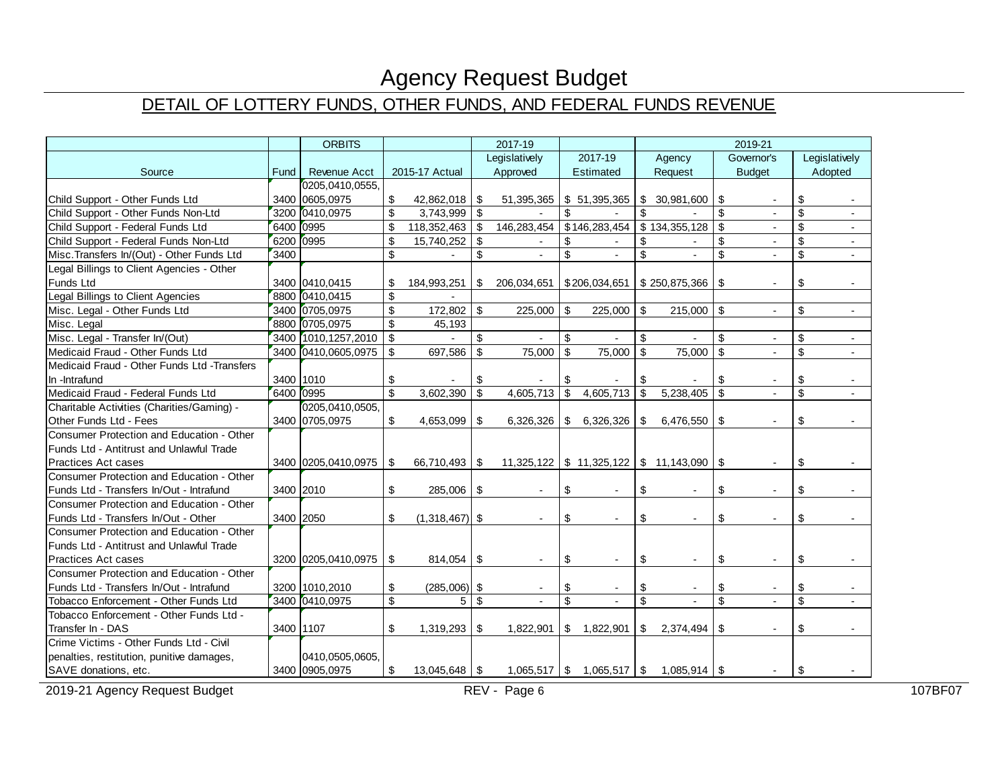### DETAIL OF LOTTERY FUNDS, OTHER FUNDS, AND FEDERAL FUNDS REVENUE

|                                             | <b>ORBITS</b> |                       | 2017-19                 |                  |                    |                | 2019-21       |                        |                         |                                                    |                         |                |              |         |
|---------------------------------------------|---------------|-----------------------|-------------------------|------------------|--------------------|----------------|---------------|------------------------|-------------------------|----------------------------------------------------|-------------------------|----------------|--------------|---------|
|                                             |               |                       |                         | Legislatively    |                    | 2017-19        |               | Agency                 |                         | Governor's                                         |                         | Legislatively  |              |         |
| Source                                      | Fund          | <b>Revenue Acct</b>   |                         | 2015-17 Actual   |                    | Approved       |               | Estimated              |                         | Request                                            |                         | <b>Budget</b>  |              | Adopted |
|                                             |               | 0205,0410,0555,       |                         |                  |                    |                |               |                        |                         |                                                    |                         |                |              |         |
| Child Support - Other Funds Ltd             |               | 3400 0605.0975        | \$                      | 42,862,018       | -\$                | 51,395,365     |               | \$51,395,365           | $\sqrt[6]{\frac{1}{2}}$ | 30,981,600                                         | \$                      |                | \$           |         |
| Child Support - Other Funds Non-Ltd         |               | 3200 0410,0975        | \$                      | 3,743,999        | $\mathbf{\hat{s}}$ |                | \$            |                        | $\mathsf{\$}$           |                                                    | \$                      | $\sim$         | \$           | $\sim$  |
| Child Support - Federal Funds Ltd           | 6400 0995     |                       | \$                      | 118,352,463      | $\mathcal{S}$      | 146,283,454    |               | \$146,283,454          |                         | \$134,355,128                                      | $\mathsf{\$}$           | $\blacksquare$ | \$           | $\sim$  |
| Child Support - Federal Funds Non-Ltd       | 6200 0995     |                       | $\mathsf{\$}$           | 15,740,252       | $\mathcal{S}$      |                | \$            |                        | \$                      |                                                    | \$                      | $\sim$         | \$           |         |
| Misc. Transfers In/(Out) - Other Funds Ltd  | 3400          |                       | \$                      |                  | \$                 |                | \$            |                        | \$                      |                                                    | \$                      |                | \$           |         |
| Legal Billings to Client Agencies - Other   |               |                       |                         |                  |                    |                |               |                        |                         |                                                    |                         |                |              |         |
| Funds Ltd                                   |               | 3400 0410,0415        | \$                      | 184,993,251      | \$                 | 206,034,651    |               | \$206,034,651          |                         | \$250,875,366                                      | \$                      |                | \$           |         |
| Legal Billings to Client Agencies           |               | 8800 0410,0415        | \$                      |                  |                    |                |               |                        |                         |                                                    |                         |                |              |         |
| Misc. Legal - Other Funds Ltd               |               | 3400 0705,0975        | \$                      | 172,802          | \$                 | 225,000        | \$            | 225,000                | \$                      | 215,000                                            | \$                      |                | \$           |         |
| Misc. Legal                                 |               | 8800 0705,0975        | \$                      | 45,193           |                    |                |               |                        |                         |                                                    |                         |                |              |         |
| Misc. Legal - Transfer In/(Out)             |               | 3400 1010, 1257, 2010 | \$                      |                  | \$                 |                | <sup>\$</sup> |                        | \$                      |                                                    | \$                      |                | \$           |         |
| Medicaid Fraud - Other Funds Ltd            |               | 3400 0410,0605,0975   | \$                      | 697,586          | $\mathfrak s$      | 75,000         | \$            | 75,000                 | $\overline{\mathbf{3}}$ | 75,000                                             | s.                      | $\mathbf{r}$   | \$           | $\sim$  |
| Medicaid Fraud - Other Funds Ltd -Transfers |               |                       |                         |                  |                    |                |               |                        |                         |                                                    |                         |                |              |         |
| In -Intrafund                               | 3400 1010     |                       | \$                      |                  | \$                 |                | \$            |                        | \$                      |                                                    | \$                      |                | \$           |         |
| Medicaid Fraud - Federal Funds Ltd          | 6400 0995     |                       | $\mathbb{S}$            | 3,602,390        | $\mathfrak{s}$     | 4,605,713      | \$            | 4,605,713              | $\mathfrak{S}$          | 5,238,405                                          | $\mathfrak{L}$          |                | $\mathbb{S}$ |         |
| Charitable Activities (Charities/Gaming) -  |               | 0205,0410,0505,       |                         |                  |                    |                |               |                        |                         |                                                    |                         |                |              |         |
| Other Funds Ltd - Fees                      |               | 3400 0705,0975        | \$                      | 4,653,099        | -\$                | 6,326,326      | \$            | $6,326,326$ $\sqrt{5}$ |                         | $6,476,550$ \$                                     |                         |                | \$           |         |
| Consumer Protection and Education - Other   |               |                       |                         |                  |                    |                |               |                        |                         |                                                    |                         |                |              |         |
| Funds Ltd - Antitrust and Unlawful Trade    |               |                       |                         |                  |                    |                |               |                        |                         |                                                    |                         |                |              |         |
| <b>Practices Act cases</b>                  |               | 3400 0205,0410,0975   | \$                      | 66,710,493       | l \$               | 11,325,122     |               |                        |                         | $$11,325,122$ $$11,143,090$ $$$                    |                         |                | \$           |         |
| Consumer Protection and Education - Other   |               |                       |                         |                  |                    |                |               |                        |                         |                                                    |                         |                |              |         |
| Funds Ltd - Transfers In/Out - Intrafund    | 3400 2010     |                       | \$                      | 285,006          | \$                 |                | \$            |                        | \$                      |                                                    | \$                      |                | \$           |         |
| Consumer Protection and Education - Other   |               |                       |                         |                  |                    |                |               |                        |                         |                                                    |                         |                |              |         |
| Funds Ltd - Transfers In/Out - Other        | 3400 2050     |                       | \$                      | $(1,318,467)$ \$ |                    | $\blacksquare$ | \$            |                        | \$                      | $\sim$                                             | \$                      |                | \$           |         |
| Consumer Protection and Education - Other   |               |                       |                         |                  |                    |                |               |                        |                         |                                                    |                         |                |              |         |
| Funds Ltd - Antitrust and Unlawful Trade    |               |                       |                         |                  |                    |                |               |                        |                         |                                                    |                         |                |              |         |
| <b>Practices Act cases</b>                  |               | 3200 0205,0410,0975   | \$                      | 814,054          | \$                 | $\blacksquare$ | \$            |                        | \$                      | $\blacksquare$                                     | \$                      |                | \$           |         |
| Consumer Protection and Education - Other   |               |                       |                         |                  |                    |                |               |                        |                         |                                                    |                         |                |              |         |
| Funds Ltd - Transfers In/Out - Intrafund    |               | 3200 1010,2010        | \$                      | $(285,006)$ \$   |                    |                | \$            |                        | \$                      |                                                    | \$                      |                | \$           |         |
| Tobacco Enforcement - Other Funds Ltd       |               | 3400 0410,0975        | $\overline{\mathbb{S}}$ | 5                | $\mathbf{s}$       |                | \$            |                        | $\overline{\$}$         |                                                    | $\overline{\mathbf{s}}$ |                | \$           |         |
| Tobacco Enforcement - Other Funds Ltd -     |               |                       |                         |                  |                    |                |               |                        |                         |                                                    |                         |                |              |         |
| Transfer In - DAS                           | 3400 1107     |                       | \$                      | 1,319,293        | -\$                | 1.822.901      | $\sqrt[6]{2}$ | $1,822,901$ \ \$       |                         | 2,374,494                                          | \$                      |                | \$           |         |
| Crime Victims - Other Funds Ltd - Civil     |               |                       |                         |                  |                    |                |               |                        |                         |                                                    |                         |                |              |         |
| penalties, restitution, punitive damages,   |               | 0410,0505,0605,       |                         |                  |                    |                |               |                        |                         |                                                    |                         |                |              |         |
| SAVE donations, etc.                        |               | 3400 0905,0975        | \$                      |                  |                    |                |               |                        |                         | $1,065,517$   \$ $1,065,517$   \$ $1,085,914$   \$ |                         |                | \$           |         |

2019-21 Agency Request Budget Records and REV - Page 6 107BF07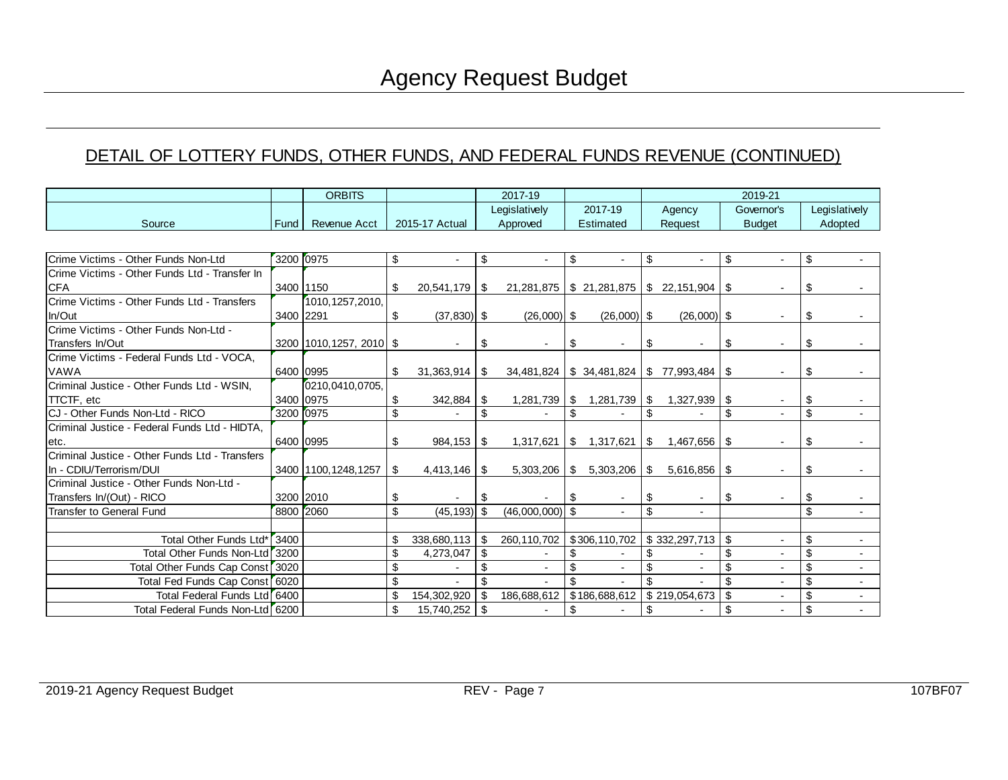#### DETAIL OF LOTTERY FUNDS, OTHER FUNDS, AND FEDERAL FUNDS REVENUE (CONTINUED)

| <b>ORBITS</b>                                  |             |                         |          | 2017-19                  |      | 2019-21                  |            |                                              |    |                              |          |                          |                         |                          |
|------------------------------------------------|-------------|-------------------------|----------|--------------------------|------|--------------------------|------------|----------------------------------------------|----|------------------------------|----------|--------------------------|-------------------------|--------------------------|
|                                                |             |                         |          |                          |      | Legislatively            |            | 2017-19                                      |    | Agency                       |          | Governor's               |                         | Legislatively            |
| Source                                         | <b>Fund</b> | Revenue Acct            |          | 2015-17 Actual           |      | Approved                 |            | <b>Estimated</b>                             |    | Request                      |          | <b>Budget</b>            |                         | Adopted                  |
|                                                |             |                         |          |                          |      |                          |            |                                              |    |                              |          |                          |                         |                          |
| Crime Victims - Other Funds Non-Ltd            | 3200 0975   |                         | \$       |                          | \$   |                          | \$         |                                              | \$ |                              | \$       |                          | \$                      |                          |
| Crime Victims - Other Funds Ltd - Transfer In  |             |                         |          |                          |      |                          |            |                                              |    |                              |          |                          |                         |                          |
| <b>CFA</b>                                     | 3400 1150   |                         | \$.      | 20,541,179 \$            |      |                          |            | $21,281,875$ \$ 21,281,875 \$ 22,151,904     |    |                              | \$       |                          | \$                      |                          |
| Crime Victims - Other Funds Ltd - Transfers    |             | 1010, 1257, 2010,       |          |                          |      |                          |            |                                              |    |                              |          |                          |                         |                          |
| In/Out                                         | 3400 2291   |                         | \$       | $(37, 830)$ \$           |      | $(26,000)$ \$            |            | $(26,000)$ \$                                |    | $(26,000)$ \$                |          |                          | \$                      |                          |
| Crime Victims - Other Funds Non-Ltd -          |             |                         |          |                          |      |                          |            |                                              |    |                              |          |                          |                         |                          |
| Transfers In/Out                               |             | 3200 1010,1257, 2010 \$ |          | $\overline{\phantom{a}}$ | \$   | $\overline{\phantom{a}}$ | \$         |                                              | \$ | $\blacksquare$               | \$       |                          | \$                      |                          |
| Crime Victims - Federal Funds Ltd - VOCA,      |             |                         |          |                          |      |                          |            |                                              |    |                              |          |                          |                         |                          |
| VAWA                                           | 6400 0995   |                         | \$.      |                          |      |                          |            | $34,481,824$ \ \$ 34,481,824 \ \$ 77,993,484 |    |                              | - \$     |                          | \$                      |                          |
| Criminal Justice - Other Funds Ltd - WSIN,     |             | 0210,0410,0705,         |          |                          |      |                          |            |                                              |    |                              |          |                          |                         |                          |
| <b>TTCTF, etc</b>                              |             | 3400 0975               | \$       | 342,884                  | l \$ |                          |            | $1,281,739$ \$ $1,281,739$ \$                |    | 1,327,939                    | <b>S</b> |                          | \$                      |                          |
| CJ - Other Funds Non-Ltd - RICO                |             | 3200 0975               | \$       |                          | \$   |                          | \$         |                                              | \$ |                              | \$       |                          | \$                      |                          |
| Criminal Justice - Federal Funds Ltd - HIDTA,  |             |                         |          |                          |      |                          |            |                                              |    |                              |          |                          |                         |                          |
| letc.                                          | 6400 0995   |                         | \$       | $984,153$ \$             |      | 1,317,621                | $\sqrt{2}$ |                                              |    | $1,317,621$   \$ $1,467,656$ | l \$     | $\overline{\phantom{a}}$ | \$                      |                          |
| Criminal Justice - Other Funds Ltd - Transfers |             |                         |          |                          |      |                          |            |                                              |    |                              |          |                          |                         |                          |
| In - CDIU/Terrorism/DUI                        |             | 3400 1100, 1248, 1257   | <b>S</b> |                          |      | $5,303,206$ \ \ \$       |            | $5,303,206$ S                                |    | 5,616,856                    | l \$     |                          | \$                      |                          |
| Criminal Justice - Other Funds Non-Ltd -       |             |                         |          |                          |      |                          |            |                                              |    |                              |          |                          |                         |                          |
| Transfers In/(Out) - RICO                      |             | 3200 2010               | \$       |                          | S.   |                          |            |                                              | \$ | $\overline{\phantom{a}}$     | \$       |                          | \$                      |                          |
| <b>Transfer to General Fund</b>                |             | 8800 2060               | \$       | $(45, 193)$ \$           |      | $(46,000,000)$ \$        |            |                                              | \$ | $\blacksquare$               |          |                          | $\overline{\mathbf{s}}$ | $\blacksquare$           |
|                                                |             |                         |          |                          |      |                          |            |                                              |    |                              |          |                          |                         |                          |
| Total Other Funds Ltd*                         | 3400        |                         | \$       | $338,680,113$ \$         |      | 260,110,702              |            | \$306,110,702                                |    | $\frac{1}{2}$ \$ 332,297,713 | -\$      |                          | \$                      |                          |
| Total Other Funds Non-Ltd <sup>r</sup> 3200    |             |                         | \$       | 4,273,047                | \$   |                          | \$         |                                              | \$ |                              | \$       |                          | \$                      |                          |
| Total Other Funds Cap Const <sup>7</sup> 3020  |             |                         | \$       |                          | \$   | $\blacksquare$           | \$         |                                              | \$ | $\overline{\phantom{a}}$     | \$       |                          | \$                      |                          |
| Total Fed Funds Cap Const 6020                 |             |                         | \$       |                          | \$   |                          | \$         |                                              | \$ |                              | \$       |                          | $\sqrt{2}$              |                          |
| Total Federal Funds Ltd 6400                   |             |                         | \$       | 154,302,920              | \$   | 186,688,612              |            | \$186,688,612                                |    | \$219,054,673                | \$       |                          | \$                      | $\overline{\phantom{0}}$ |
| Total Federal Funds Non-Ltd <sup>6</sup> 6200  |             |                         | \$       | 15,740,252               | \$   | $\blacksquare$           | \$         | $\overline{\phantom{a}}$                     | \$ |                              | \$       |                          | \$                      |                          |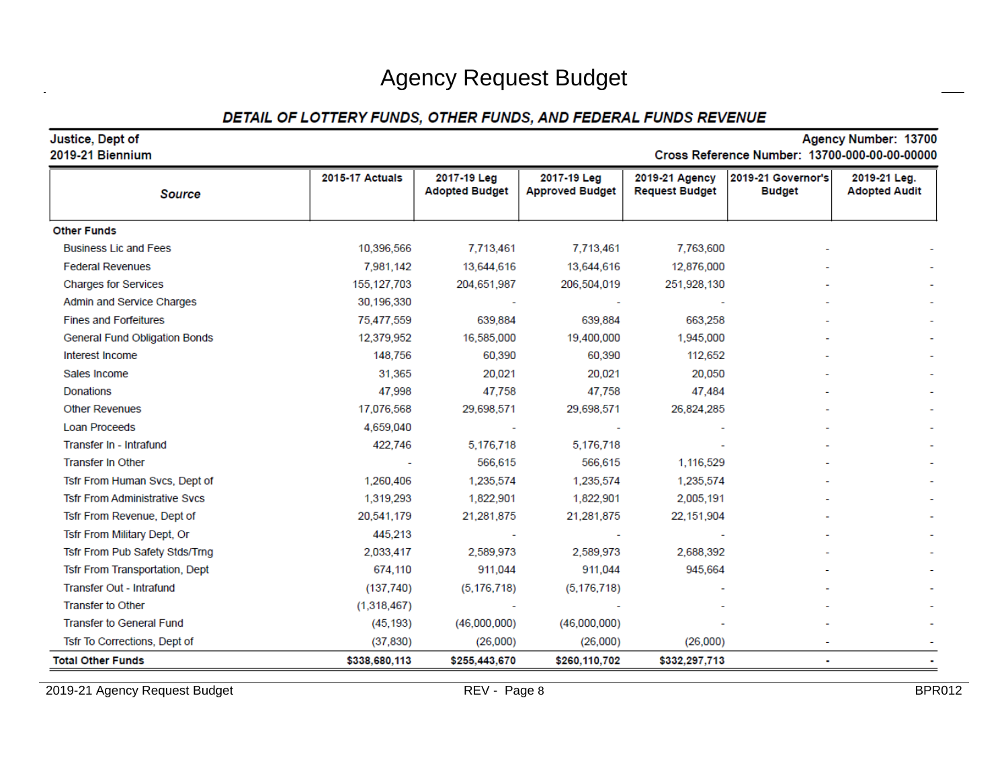#### DETAIL OF LOTTERY FUNDS, OTHER FUNDS, AND FEDERAL FUNDS REVENUE

| Justice, Dept of<br>2019-21 Biennium |                 |                                      |                                       |                                         | Cross Reference Number: 13700-000-00-00-00000 | Agency Number: 13700                 |
|--------------------------------------|-----------------|--------------------------------------|---------------------------------------|-----------------------------------------|-----------------------------------------------|--------------------------------------|
| <b>Source</b>                        | 2015-17 Actuals | 2017-19 Leg<br><b>Adopted Budget</b> | 2017-19 Leg<br><b>Approved Budget</b> | 2019-21 Agency<br><b>Request Budget</b> | 2019-21 Governor's<br><b>Budget</b>           | 2019-21 Leg.<br><b>Adopted Audit</b> |
| <b>Other Funds</b>                   |                 |                                      |                                       |                                         |                                               |                                      |
| <b>Business Lic and Fees</b>         | 10,396,566      | 7,713,461                            | 7,713,461                             | 7,763,600                               |                                               |                                      |
| <b>Federal Revenues</b>              | 7,981,142       | 13,644,616                           | 13,644,616                            | 12,876,000                              |                                               |                                      |
| <b>Charges for Services</b>          | 155, 127, 703   | 204,651,987                          | 206,504,019                           | 251,928,130                             |                                               |                                      |
| Admin and Service Charges            | 30,196,330      |                                      |                                       |                                         |                                               |                                      |
| <b>Fines and Forfeitures</b>         | 75,477,559      | 639,884                              | 639,884                               | 663,258                                 |                                               |                                      |
| <b>General Fund Obligation Bonds</b> | 12,379,952      | 16,585,000                           | 19,400,000                            | 1,945,000                               |                                               |                                      |
| Interest Income                      | 148,756         | 60,390                               | 60,390                                | 112,652                                 |                                               |                                      |
| Sales Income                         | 31,365          | 20,021                               | 20,021                                | 20,050                                  |                                               |                                      |
| Donations                            | 47,998          | 47.758                               | 47,758                                | 47,484                                  |                                               |                                      |
| <b>Other Revenues</b>                | 17,076,568      | 29,698,571                           | 29,698,571                            | 26,824,285                              |                                               |                                      |
| <b>Loan Proceeds</b>                 | 4,659,040       |                                      |                                       |                                         |                                               |                                      |
| Transfer In - Intrafund              | 422,746         | 5,176,718                            | 5,176,718                             |                                         |                                               |                                      |
| <b>Transfer In Other</b>             |                 | 566,615                              | 566,615                               | 1,116,529                               |                                               |                                      |
| Tsfr From Human Svcs, Dept of        | 1,260,406       | 1,235,574                            | 1,235,574                             | 1,235,574                               |                                               |                                      |
| <b>Tsfr From Administrative Svcs</b> | 1,319,293       | 1,822,901                            | 1,822,901                             | 2,005,191                               |                                               |                                      |
| Tsfr From Revenue, Dept of           | 20,541,179      | 21,281,875                           | 21,281,875                            | 22, 151, 904                            |                                               |                                      |
| Tsfr From Military Dept, Or          | 445,213         |                                      |                                       |                                         |                                               |                                      |
| Tsfr From Pub Safety Stds/Trng       | 2,033,417       | 2,589,973                            | 2,589,973                             | 2,688,392                               |                                               |                                      |
| Tsfr From Transportation, Dept       | 674,110         | 911,044                              | 911,044                               | 945,664                                 |                                               |                                      |
| Transfer Out - Intrafund             | (137,740)       | (5, 176, 718)                        | (5, 176, 718)                         |                                         |                                               |                                      |
| <b>Transfer to Other</b>             | (1,318,467)     |                                      |                                       |                                         |                                               |                                      |
| <b>Transfer to General Fund</b>      | (45, 193)       | (46,000,000)                         | (46,000,000)                          |                                         |                                               |                                      |
| Tsfr To Corrections, Dept of         | (37, 830)       | (26,000)                             | (26,000)                              | (26,000)                                |                                               |                                      |
| <b>Total Other Funds</b>             | \$338,680,113   | \$255,443,670                        | \$260,110,702                         | \$332,297,713                           |                                               |                                      |

2019-21 Agency Request Budget Budget REV - Page 8 BPR012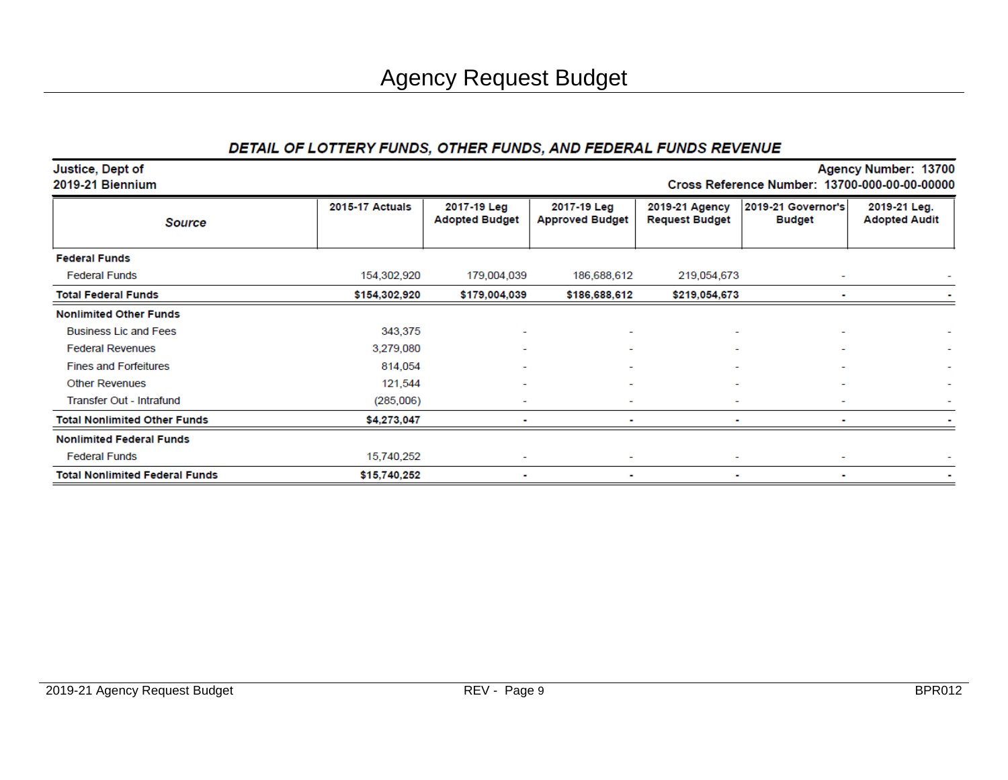#### DETAIL OF LOTTERY FUNDS, OTHER FUNDS, AND FEDERAL FUNDS REVENUE

| Justice, Dept of<br>2019-21 Biennium  |                        |                                      |                                       | Agency Number: 13700<br>Cross Reference Number: 13700-000-00-00-00000 |                                     |                                      |  |  |  |  |  |
|---------------------------------------|------------------------|--------------------------------------|---------------------------------------|-----------------------------------------------------------------------|-------------------------------------|--------------------------------------|--|--|--|--|--|
| <b>Source</b>                         | <b>2015-17 Actuals</b> | 2017-19 Leg<br><b>Adopted Budget</b> | 2017-19 Leg<br><b>Approved Budget</b> | 2019-21 Agency<br><b>Request Budget</b>                               | 2019-21 Governor's<br><b>Budget</b> | 2019-21 Leg.<br><b>Adopted Audit</b> |  |  |  |  |  |
| <b>Federal Funds</b>                  |                        |                                      |                                       |                                                                       |                                     |                                      |  |  |  |  |  |
| <b>Federal Funds</b>                  | 154,302,920            | 179,004,039                          | 186,688,612                           | 219,054,673                                                           |                                     |                                      |  |  |  |  |  |
| <b>Total Federal Funds</b>            | \$154,302,920          | \$179,004,039                        | \$186,688,612                         | \$219,054,673                                                         |                                     |                                      |  |  |  |  |  |
| <b>Nonlimited Other Funds</b>         |                        |                                      |                                       |                                                                       |                                     |                                      |  |  |  |  |  |
| <b>Business Lic and Fees</b>          | 343,375                | $\overline{\phantom{0}}$             |                                       |                                                                       |                                     |                                      |  |  |  |  |  |
| <b>Federal Revenues</b>               | 3,279,080              | ۰                                    |                                       |                                                                       |                                     |                                      |  |  |  |  |  |
| <b>Fines and Forfeitures</b>          | 814,054                |                                      |                                       |                                                                       |                                     |                                      |  |  |  |  |  |
| <b>Other Revenues</b>                 | 121,544                | ۰                                    |                                       |                                                                       |                                     |                                      |  |  |  |  |  |
| Transfer Out - Intrafund              | (285,006)              | ۰                                    |                                       |                                                                       |                                     |                                      |  |  |  |  |  |
| <b>Total Nonlimited Other Funds</b>   | \$4,273,047            |                                      |                                       |                                                                       |                                     |                                      |  |  |  |  |  |
| <b>Nonlimited Federal Funds</b>       |                        |                                      |                                       |                                                                       |                                     |                                      |  |  |  |  |  |
| <b>Federal Funds</b>                  | 15,740,252             |                                      |                                       |                                                                       |                                     |                                      |  |  |  |  |  |
| <b>Total Nonlimited Federal Funds</b> | \$15,740,252           |                                      |                                       |                                                                       |                                     |                                      |  |  |  |  |  |